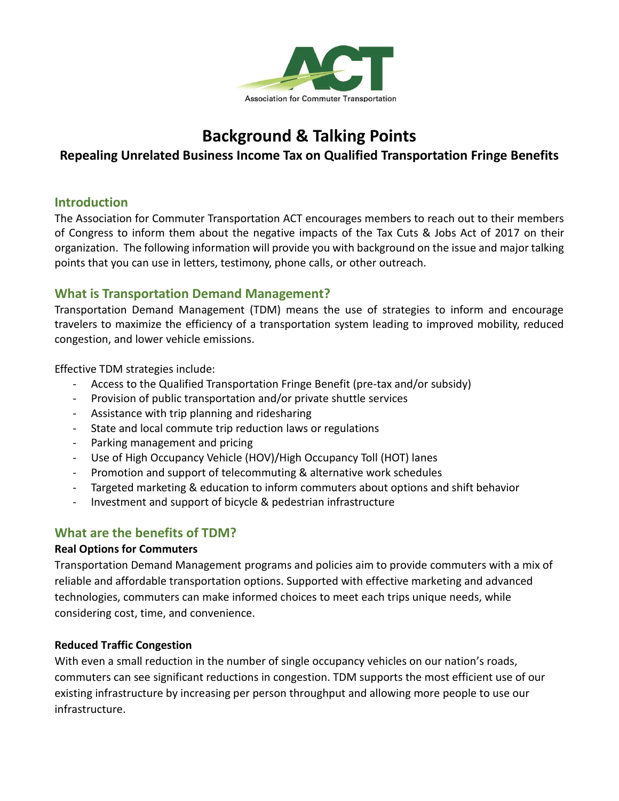

# **Background & Talking Points**

## **Repealing Unrelated Business Income Tax on Qualified Transportation Fringe Benefits**

#### **Introduction**

The Association for Commuter Transportation ACT encourages members to reach out to their members of Congress to inform them about the negative impacts of the Tax Cuts & Jobs Act of 2017 on their organization. The following information will provide you with background on the issue and major talking points that you can use in letters, testimony, phone calls, or other outreach.

## **What is Transportation Demand Management?**

Transportation Demand Management (TDM) means the use of strategies to inform and encourage travelers to maximize the efficiency of a transportation system leading to improved mobility, reduced congestion, and lower vehicle emissions.

Effective TDM strategies include:

- Access to the Qualified Transportation Fringe Benefit (pre-tax and/or subsidy)
- Provision of public transportation and/or private shuttle services
- Assistance with trip planning and ridesharing
- State and local commute trip reduction laws or regulations
- Parking management and pricing
- Use of High Occupancy Vehicle (HOV)/High Occupancy Toll (HOT) lanes
- Promotion and support of telecommuting & alternative work schedules
- Targeted marketing & education to inform commuters about options and shift behavior
- Investment and support of bicycle & pedestrian infrastructure

# **What are the benefits of TDM?**

#### **Real Options for Commuters**

Transportation Demand Management programs and policies aim to provide commuters with a mix of reliable and affordable transportation options. Supported with effective marketing and advanced technologies, commuters can make informed choices to meet each trips unique needs, while considering cost, time, and convenience.

#### **Reduced Traffic Congestion**

With even a small reduction in the number of single occupancy vehicles on our nation's roads, commuters can see significant reductions in congestion. TDM supports the most efficient use of our existing infrastructure by increasing per person throughput and allowing more people to use our infrastructure.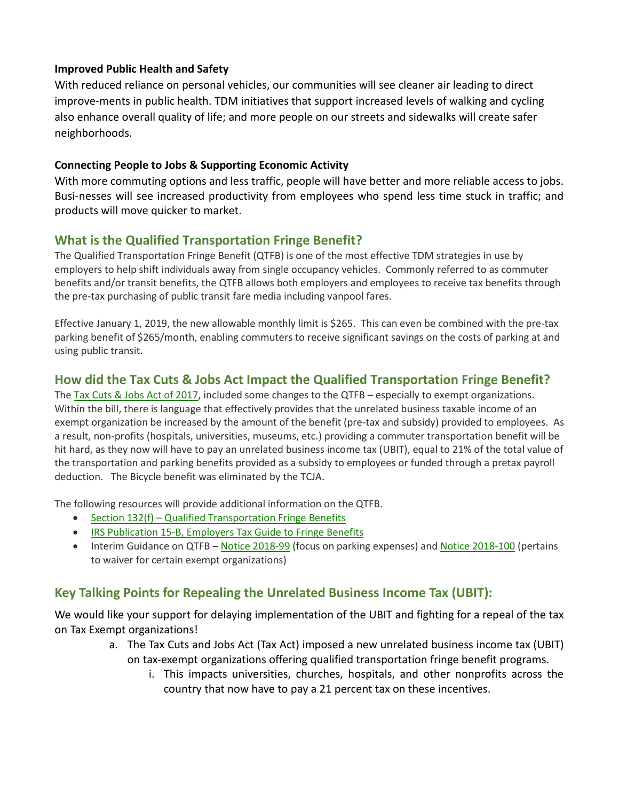#### **Improved Public Health and Safety**

With reduced reliance on personal vehicles, our communities will see cleaner air leading to direct improve-ments in public health. TDM initiatives that support increased levels of walking and cycling also enhance overall quality of life; and more people on our streets and sidewalks will create safer neighborhoods.

#### **Connecting People to Jobs & Supporting Economic Activity**

With more commuting options and less traffic, people will have better and more reliable access to jobs. Busi-nesses will see increased productivity from employees who spend less time stuck in traffic; and products will move quicker to market.

## **What is the Qualified Transportation Fringe Benefit?**

The Qualified Transportation Fringe Benefit (QTFB) is one of the most effective TDM strategies in use by employers to help shift individuals away from single occupancy vehicles. Commonly referred to as commuter benefits and/or transit benefits, the QTFB allows both employers and employees to receive tax benefits through the pre-tax purchasing of public transit fare media including vanpool fares.

Effective January 1, 2019, the new allowable monthly limit is \$265. This can even be combined with the pre-tax parking benefit of \$265/month, enabling commuters to receive significant savings on the costs of parking at and using public transit.

## **How did the Tax Cuts & Jobs Act Impact the Qualified Transportation Fringe Benefit?**

The Tax Cuts & Jobs Act of [2017,](https://www.congress.gov/bill/115th-congress/house-bill/1) included some changes to the QTFB - especially to exempt organizations. Within the bill, there is language that effectively provides that the unrelated business taxable income of an exempt organization be increased by the amount of the benefit (pre-tax and subsidy) provided to employees. As a result, non-profits (hospitals, universities, museums, etc.) providing a commuter transportation benefit will be hit hard, as they now will have to pay an unrelated business income tax (UBIT), equal to 21% of the total value of the transportation and parking benefits provided as a subsidy to employees or funded through a pretax payroll deduction. The Bicycle benefit was eliminated by the TCJA.

The following resources will provide additional information on the QTFB.

- Section 132(f) Qualified [Transportation](https://www.irs.gov/pub/irs-drop/rr-14-32.pdf) Fringe Benefits
- IRS [Publication](https://www.irs.gov/pub/irs-pdf/p15b.pdf) 15-B, Employers Tax Guide to Fringe Benefits
- Interim Guidance on QTFB Notice [2018-99](https://www.irs.gov/pub/irs-drop/n-18-99.pdf) (focus on parking expenses) and Notice [2018-100](https://www.irs.gov/pub/irs-drop/n-18-100.pdf) (pertains to waiver for certain exempt organizations)

## **Key Talking Points for Repealing the Unrelated Business Income Tax (UBIT):**

We would like your support for delaying implementation of the UBIT and fighting for a repeal of the tax on Tax Exempt organizations!

- a. The Tax Cuts and Jobs Act (Tax Act) imposed a new unrelated business income tax (UBIT) on tax-exempt organizations offering qualified transportation fringe benefit programs.
	- i. This impacts universities, churches, hospitals, and other nonprofits across the country that now have to pay a 21 percent tax on these incentives.